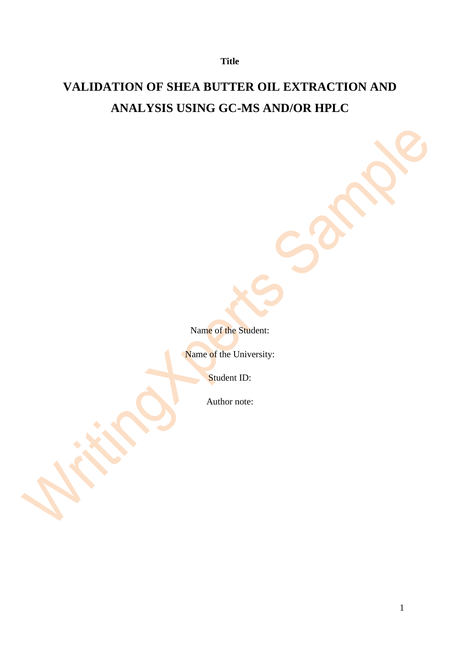# **VALIDATION OF SHEA BUTTER OIL EXTRACTION AND ANALYSIS USING GC-MS AND/OR HPLC**

Name of the Student:

Name of the University:

Student ID:

Author note: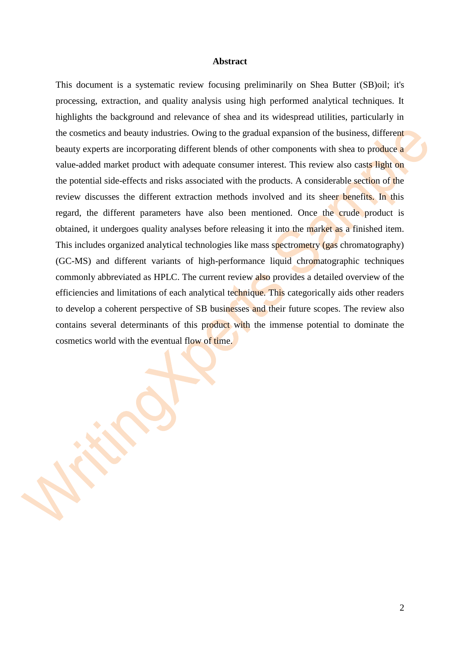#### **Abstract**

This document is a systematic review focusing preliminarily on Shea Butter (SB)oil; it's processing, extraction, and quality analysis using high performed analytical techniques. It highlights the background and relevance of shea and its widespread utilities, particularly in the cosmetics and beauty industries. Owing to the gradual expansion of the business, different beauty experts are incorporating different blends of other components with shea to produce a value-added market product with adequate consumer interest. This review also casts light on the potential side-effects and risks associated with the products. A considerable section of the review discusses the different extraction methods involved and its sheer benefits. In this regard, the different parameters have also been mentioned. Once the crude product is obtained, it undergoes quality analyses before releasing it into the market as a finished item. This includes organized analytical technologies like mass spectrometry (gas chromatography) (GC-MS) and different variants of high-performance liquid chromatographic techniques commonly abbreviated as HPLC. The current review also provides a detailed overview of the efficiencies and limitations of each analytical technique. This categorically aids other readers to develop a coherent perspective of SB businesses and their future scopes. The review also contains several determinants of this product with the immense potential to dominate the cosmetics world with the eventual flow of time.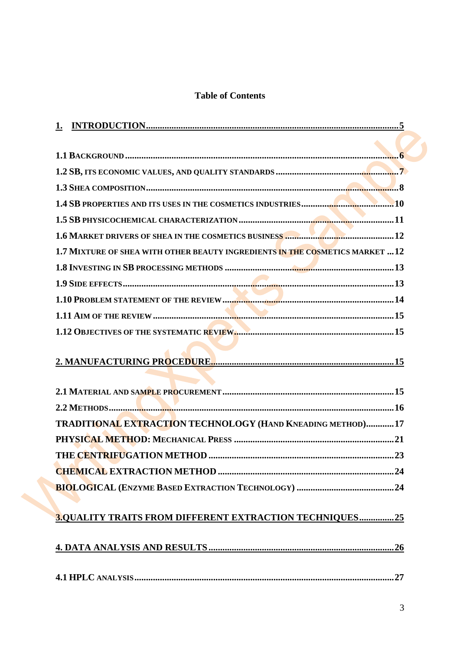## **Table of Contents**

| 1.7 MIXTURE OF SHEA WITH OTHER BEAUTY INGREDIENTS IN THE COSMETICS MARKET  12 |
|-------------------------------------------------------------------------------|
|                                                                               |
|                                                                               |
|                                                                               |
|                                                                               |
|                                                                               |
|                                                                               |
|                                                                               |
|                                                                               |
| TRADITIONAL EXTRACTION TECHNOLOGY (HAND KNEADING METHOD)17                    |
|                                                                               |
|                                                                               |
|                                                                               |
|                                                                               |
|                                                                               |
| <b>3.QUALITY TRAITS FROM DIFFERENT EXTRACTION TECHNIQUES25</b>                |
|                                                                               |
|                                                                               |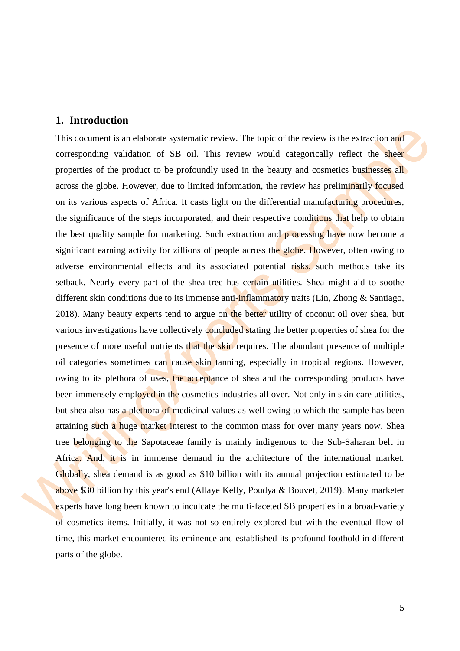## <span id="page-4-0"></span>**1. Introduction**

This document is an elaborate systematic review. The topic of the review is the extraction and corresponding validation of SB oil. This review would categorically reflect the sheer properties of the product to be profoundly used in the beauty and cosmetics businesses all across the globe. However, due to limited information, the review has preliminarily focused on its various aspects of Africa. It casts light on the differential manufacturing procedures, the significance of the steps incorporated, and their respective conditions that help to obtain the best quality sample for marketing. Such extraction and processing have now become a significant earning activity for zillions of people across the globe. However, often owing to adverse environmental effects and its associated potential risks, such methods take its setback. Nearly every part of the shea tree has certain utilities. Shea might aid to soothe different skin conditions due to its immense anti-inflammatory traits (Lin, Zhong & Santiago, 2018). Many beauty experts tend to argue on the better utility of coconut oil over shea, but various investigations have collectively concluded stating the better properties of shea for the presence of more useful nutrients that the skin requires. The abundant presence of multiple oil categories sometimes can cause skin tanning, especially in tropical regions. However, owing to its plethora of uses, the acceptance of shea and the corresponding products have been immensely employed in the cosmetics industries all over. Not only in skin care utilities, but shea also has a plethora of medicinal values as well owing to which the sample has been attaining such a huge market interest to the common mass for over many years now. Shea tree belonging to the Sapotaceae family is mainly indigenous to the Sub-Saharan belt in Africa. And, it is in immense demand in the architecture of the international market. Globally, shea demand is as good as \$10 billion with its annual projection estimated to be above \$30 billion by this year's end (Allaye Kelly, Poudyal& Bouvet, 2019). Many marketer experts have long been known to inculcate the multi-faceted SB properties in a broad-variety of cosmetics items. Initially, it was not so entirely explored but with the eventual flow of time, this market encountered its eminence and established its profound foothold in different parts of the globe.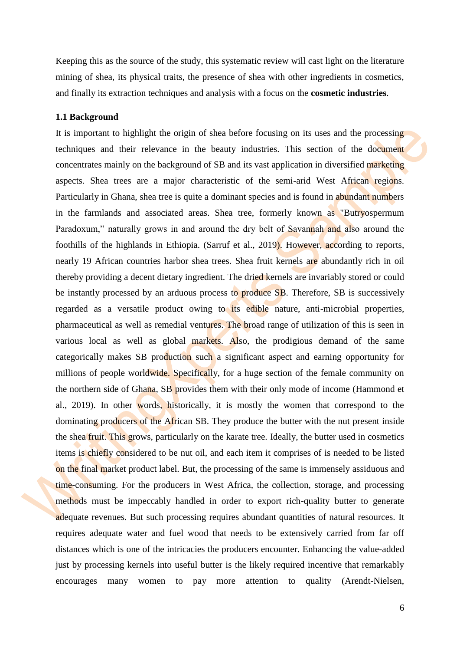Keeping this as the source of the study, this systematic review will cast light on the literature mining of shea, its physical traits, the presence of shea with other ingredients in cosmetics, and finally its extraction techniques and analysis with a focus on the **cosmetic industries**.

#### <span id="page-5-0"></span>**1.1 Background**

It is important to highlight the origin of shea before focusing on its uses and the processing techniques and their relevance in the beauty industries. This section of the document concentrates mainly on the background of SB and its vast application in diversified marketing aspects. Shea trees are a major characteristic of the semi-arid West African regions. Particularly in Ghana, shea tree is quite a dominant species and is found in abundant numbers in the farmlands and associated areas. Shea tree, formerly known as "Butryospermum Paradoxum," naturally grows in and around the dry belt of Savannah and also around the foothills of the highlands in Ethiopia. (Sarruf et al., 2019). However, according to reports, nearly 19 African countries harbor shea trees. Shea fruit kernels are abundantly rich in oil thereby providing a decent dietary ingredient. The dried kernels are invariably stored or could be instantly processed by an arduous process to produce SB. Therefore, SB is successively regarded as a versatile product owing to its edible nature, anti-microbial properties, pharmaceutical as well as remedial ventures. The broad range of utilization of this is seen in various local as well as global markets. Also, the prodigious demand of the same categorically makes SB production such a significant aspect and earning opportunity for millions of people worldwide. Specifically, for a huge section of the female community on the northern side of Ghana, SB provides them with their only mode of income (Hammond et al., 2019). In other words, historically, it is mostly the women that correspond to the dominating producers of the African SB. They produce the butter with the nut present inside the shea fruit. This grows, particularly on the karate tree. Ideally, the butter used in cosmetics items is chiefly considered to be nut oil, and each item it comprises of is needed to be listed on the final market product label. But, the processing of the same is immensely assiduous and time-consuming. For the producers in West Africa, the collection, storage, and processing methods must be impeccably handled in order to export rich-quality butter to generate adequate revenues. But such processing requires abundant quantities of natural resources. It requires adequate water and fuel wood that needs to be extensively carried from far off distances which is one of the intricacies the producers encounter. Enhancing the value-added just by processing kernels into useful butter is the likely required incentive that remarkably encourages many women to pay more attention to quality (Arendt-Nielsen,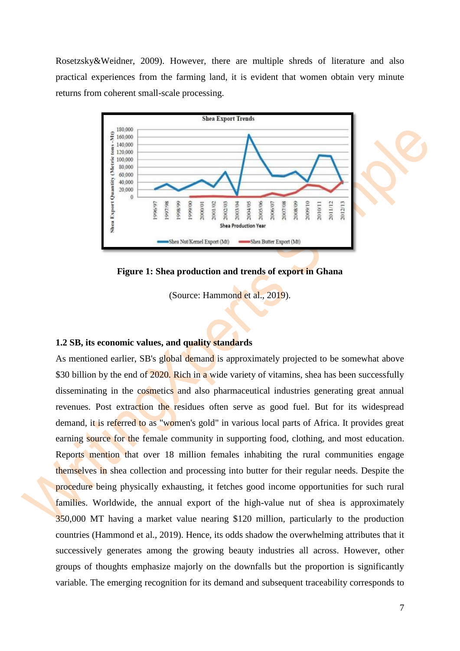Rosetzsky&Weidner, 2009). However, there are multiple shreds of literature and also practical experiences from the farming land, it is evident that women obtain very minute returns from coherent small-scale processing.



**Figure 1: Shea production and trends of export in Ghana**

(Source: Hammond et al., 2019).

#### <span id="page-6-0"></span>**1.2 SB, its economic values, and quality standards**

As mentioned earlier, SB's global demand is approximately projected to be somewhat above \$30 billion by the end of 2020. Rich in a wide variety of vitamins, shea has been successfully disseminating in the cosmetics and also pharmaceutical industries generating great annual revenues. Post extraction the residues often serve as good fuel. But for its widespread demand, it is referred to as "women's gold" in various local parts of Africa. It provides great earning source for the female community in supporting food, clothing, and most education. Reports mention that over 18 million females inhabiting the rural communities engage themselves in shea collection and processing into butter for their regular needs. Despite the procedure being physically exhausting, it fetches good income opportunities for such rural families. Worldwide, the annual export of the high-value nut of shea is approximately 350,000 MT having a market value nearing \$120 million, particularly to the production countries (Hammond et al., 2019). Hence, its odds shadow the overwhelming attributes that it successively generates among the growing beauty industries all across. However, other groups of thoughts emphasize majorly on the downfalls but the proportion is significantly variable. The emerging recognition for its demand and subsequent traceability corresponds to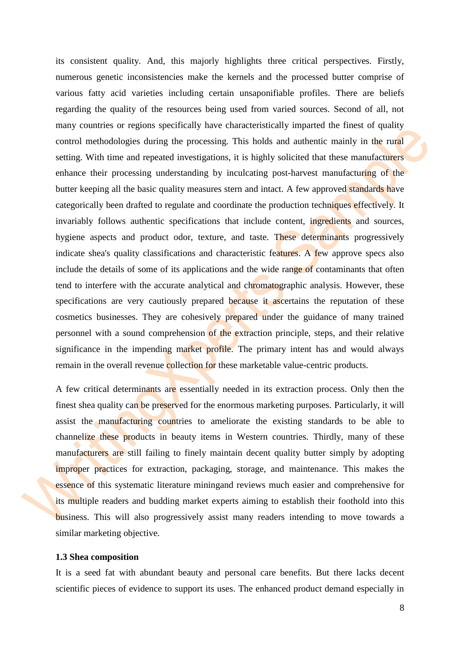its consistent quality. And, this majorly highlights three critical perspectives. Firstly, numerous genetic inconsistencies make the kernels and the processed butter comprise of various fatty acid varieties including certain unsaponifiable profiles. There are beliefs regarding the quality of the resources being used from varied sources. Second of all, not many countries or regions specifically have characteristically imparted the finest of quality control methodologies during the processing. This holds and authentic mainly in the rural setting. With time and repeated investigations, it is highly solicited that these manufacturers enhance their processing understanding by inculcating post-harvest manufacturing of the butter keeping all the basic quality measures stern and intact. A few approved standards have categorically been drafted to regulate and coordinate the production techniques effectively. It invariably follows authentic specifications that include content, ingredients and sources, hygiene aspects and product odor, texture, and taste. These determinants progressively indicate shea's quality classifications and characteristic features. A few approve specs also include the details of some of its applications and the wide range of contaminants that often tend to interfere with the accurate analytical and chromatographic analysis. However, these specifications are very cautiously prepared because it ascertains the reputation of these cosmetics businesses. They are cohesively prepared under the guidance of many trained personnel with a sound comprehension of the extraction principle, steps, and their relative significance in the impending market profile. The primary intent has and would always remain in the overall revenue collection for these marketable value-centric products.

A few critical determinants are essentially needed in its extraction process. Only then the finest shea quality can be preserved for the enormous marketing purposes. Particularly, it will assist the manufacturing countries to ameliorate the existing standards to be able to channelize these products in beauty items in Western countries. Thirdly, many of these manufacturers are still failing to finely maintain decent quality butter simply by adopting improper practices for extraction, packaging, storage, and maintenance. This makes the essence of this systematic literature miningand reviews much easier and comprehensive for its multiple readers and budding market experts aiming to establish their foothold into this business. This will also progressively assist many readers intending to move towards a similar marketing objective.

#### <span id="page-7-0"></span>**1.3 Shea composition**

It is a seed fat with abundant beauty and personal care benefits. But there lacks decent scientific pieces of evidence to support its uses. The enhanced product demand especially in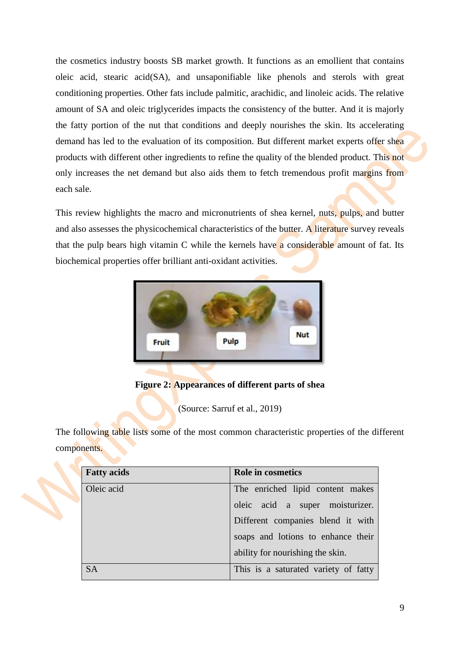the cosmetics industry boosts SB market growth. It functions as an emollient that contains oleic acid, stearic acid(SA), and unsaponifiable like phenols and sterols with great conditioning properties. Other fats include palmitic, arachidic, and linoleic acids. The relative amount of SA and oleic triglycerides impacts the consistency of the butter. And it is majorly the fatty portion of the nut that conditions and deeply nourishes the skin. Its accelerating demand has led to the evaluation of its composition. But different market experts offer shea products with different other ingredients to refine the quality of the blended product. This not only increases the net demand but also aids them to fetch tremendous profit margins from each sale.

This review highlights the macro and micronutrients of shea kernel, nuts, pulps, and butter and also assesses the physicochemical characteristics of the butter. A literature survey reveals that the pulp bears high vitamin C while the kernels have a considerable amount of fat. Its biochemical properties offer brilliant anti-oxidant activities.



**Figure 2: Appearances of different parts of shea**

(Source: Sarruf et al., 2019)

The following table lists some of the most common characteristic properties of the different components.

| <b>Fatty acids</b> | Role in cosmetics                    |
|--------------------|--------------------------------------|
| Oleic acid         | The enriched lipid content makes     |
|                    | oleic acid a super moisturizer.      |
|                    | Different companies blend it with    |
|                    | soaps and lotions to enhance their   |
|                    | ability for nourishing the skin.     |
| <b>SA</b>          | This is a saturated variety of fatty |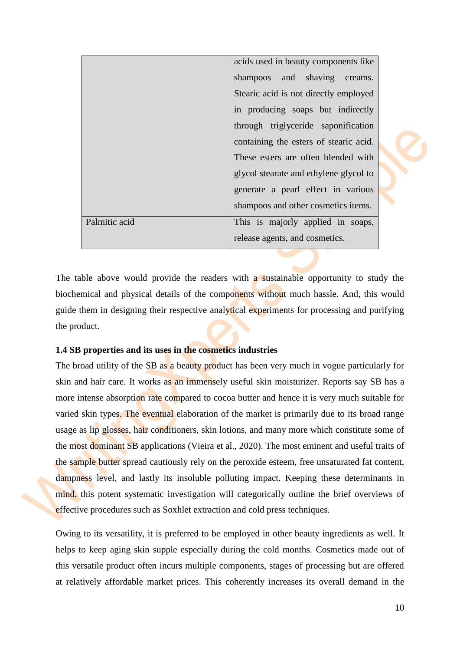| acids used in beauty components like |                                        |  |  |
|--------------------------------------|----------------------------------------|--|--|
|                                      | shampoos and shaving creams.           |  |  |
|                                      | Stearic acid is not directly employed  |  |  |
|                                      | in producing soaps but indirectly      |  |  |
|                                      | through triglyceride saponification    |  |  |
|                                      | containing the esters of stearic acid. |  |  |
|                                      | These esters are often blended with    |  |  |
|                                      | glycol stearate and ethylene glycol to |  |  |
|                                      | generate a pearl effect in various     |  |  |
|                                      | shampoos and other cosmetics items.    |  |  |
| Palmitic acid                        | This is majorly applied in soaps,      |  |  |
|                                      | release agents, and cosmetics.         |  |  |

The table above would provide the readers with a sustainable opportunity to study the biochemical and physical details of the components without much hassle. And, this would guide them in designing their respective analytical experiments for processing and purifying the product.

## <span id="page-9-0"></span>**1.4 SB properties and its uses in the cosmetics industries**

The broad utility of the SB as a beauty product has been very much in vogue particularly for skin and hair care. It works as an immensely useful skin moisturizer. Reports say SB has a more intense absorption rate compared to cocoa butter and hence it is very much suitable for varied skin types. The eventual elaboration of the market is primarily due to its broad range usage as lip glosses, hair conditioners, skin lotions, and many more which constitute some of the most dominant SB applications (Vieira et al., 2020). The most eminent and useful traits of the sample butter spread cautiously rely on the peroxide esteem, free unsaturated fat content, dampness level, and lastly its insoluble polluting impact. Keeping these determinants in mind, this potent systematic investigation will categorically outline the brief overviews of effective procedures such as Soxhlet extraction and cold press techniques.

Owing to its versatility, it is preferred to be employed in other beauty ingredients as well. It helps to keep aging skin supple especially during the cold months. Cosmetics made out of this versatile product often incurs multiple components, stages of processing but are offered at relatively affordable market prices. This coherently increases its overall demand in the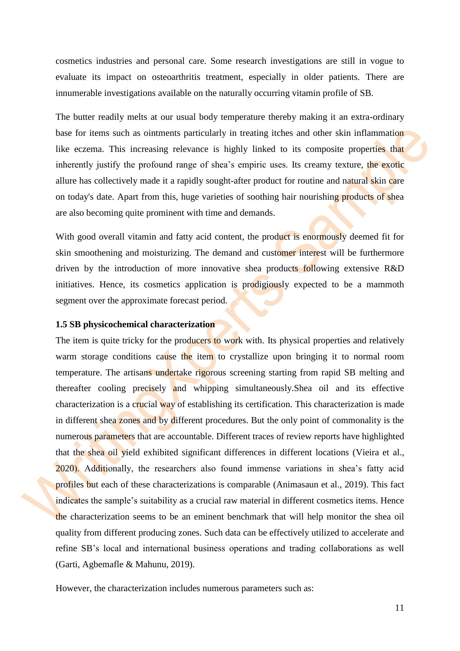cosmetics industries and personal care. Some research investigations are still in vogue to evaluate its impact on osteoarthritis treatment, especially in older patients. There are innumerable investigations available on the naturally occurring vitamin profile of SB.

The butter readily melts at our usual body temperature thereby making it an extra-ordinary base for items such as ointments particularly in treating itches and other skin inflammation like eczema. This increasing relevance is highly linked to its composite properties that inherently justify the profound range of shea's empiric uses. Its creamy texture, the exotic allure has collectively made it a rapidly sought-after product for routine and natural skin care on today's date. Apart from this, huge varieties of soothing hair nourishing products of shea are also becoming quite prominent with time and demands.

With good overall vitamin and fatty acid content, the product is enormously deemed fit for skin smoothening and moisturizing. The demand and customer interest will be furthermore driven by the introduction of more innovative shea products following extensive R&D initiatives. Hence, its cosmetics application is prodigiously expected to be a mammoth segment over the approximate forecast period.

#### <span id="page-10-0"></span>**1.5 SB physicochemical characterization**

The item is quite tricky for the producers to work with. Its physical properties and relatively warm storage conditions cause the item to crystallize upon bringing it to normal room temperature. The artisans undertake rigorous screening starting from rapid SB melting and thereafter cooling precisely and whipping simultaneously.Shea oil and its effective characterization is a crucial way of establishing its certification. This characterization is made in different shea zones and by different procedures. But the only point of commonality is the numerous parameters that are accountable. Different traces of review reports have highlighted that the shea oil yield exhibited significant differences in different locations (Vieira et al., 2020). Additionally, the researchers also found immense variations in shea's fatty acid profiles but each of these characterizations is comparable (Animasaun et al., 2019). This fact indicates the sample's suitability as a crucial raw material in different cosmetics items. Hence the characterization seems to be an eminent benchmark that will help monitor the shea oil quality from different producing zones. Such data can be effectively utilized to accelerate and refine SB's local and international business operations and trading collaborations as well (Garti, Agbemafle & Mahunu, 2019).

However, the characterization includes numerous parameters such as: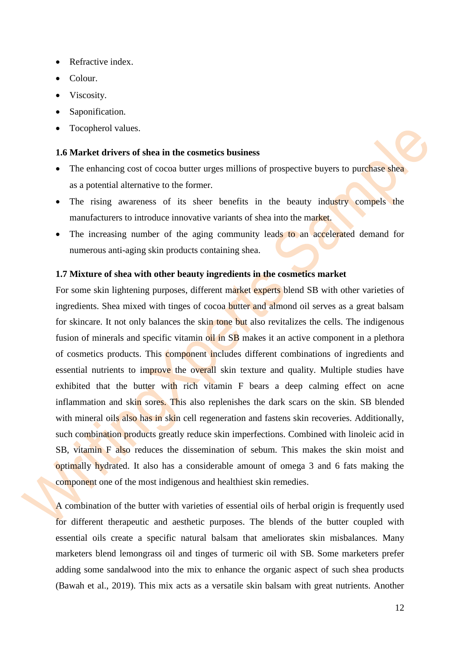- Refractive index.
- Colour.
- Viscosity.
- Saponification.
- Tocopherol values.

#### <span id="page-11-0"></span>**1.6 Market drivers of shea in the cosmetics business**

- The enhancing cost of cocoa butter urges millions of prospective buyers to purchase shea as a potential alternative to the former.
- The rising awareness of its sheer benefits in the beauty industry compels the manufacturers to introduce innovative variants of shea into the market.
- The increasing number of the aging community leads to an accelerated demand for numerous anti-aging skin products containing shea.

#### <span id="page-11-1"></span>**1.7 Mixture of shea with other beauty ingredients in the cosmetics market**

For some skin lightening purposes, different market experts blend SB with other varieties of ingredients. Shea mixed with tinges of cocoa butter and almond oil serves as a great balsam for skincare. It not only balances the skin tone but also revitalizes the cells. The indigenous fusion of minerals and specific vitamin oil in SB makes it an active component in a plethora of cosmetics products. This **component includes** different combinations of ingredients and essential nutrients to improve the overall skin texture and quality. Multiple studies have exhibited that the butter with rich vitamin F bears a deep calming effect on acne inflammation and skin sores. This also replenishes the dark scars on the skin. SB blended with mineral oils also has in skin cell regeneration and fastens skin recoveries. Additionally, such combination products greatly reduce skin imperfections. Combined with linoleic acid in SB, vitamin F also reduces the dissemination of sebum. This makes the skin moist and optimally hydrated. It also has a considerable amount of omega 3 and 6 fats making the component one of the most indigenous and healthiest skin remedies.

A combination of the butter with varieties of essential oils of herbal origin is frequently used for different therapeutic and aesthetic purposes. The blends of the butter coupled with essential oils create a specific natural balsam that ameliorates skin misbalances. Many marketers blend lemongrass oil and tinges of turmeric oil with SB. Some marketers prefer adding some sandalwood into the mix to enhance the organic aspect of such shea products (Bawah et al., 2019). This mix acts as a versatile skin balsam with great nutrients. Another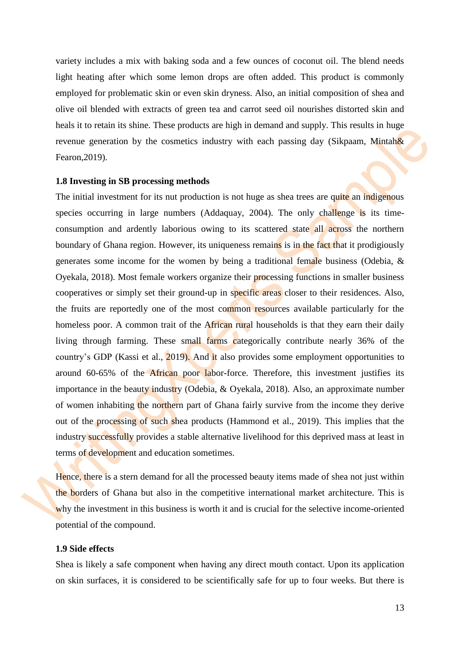variety includes a mix with baking soda and a few ounces of coconut oil. The blend needs light heating after which some lemon drops are often added. This product is commonly employed for problematic skin or even skin dryness. Also, an initial composition of shea and olive oil blended with extracts of green tea and carrot seed oil nourishes distorted skin and heals it to retain its shine. These products are high in demand and supply. This results in huge revenue generation by the cosmetics industry with each passing day (Sikpaam, Mintah $\&$ Fearon,2019).

#### <span id="page-12-0"></span>**1.8 Investing in SB processing methods**

The initial investment for its nut production is not huge as shea trees are quite an indigenous species occurring in large numbers (Addaquay, 2004). The only challenge is its timeconsumption and ardently laborious owing to its scattered state all across the northern boundary of Ghana region. However, its uniqueness remains is in the fact that it prodigiously generates some income for the women by being a traditional female business (Odebia, & Oyekala, 2018). Most female workers organize their processing functions in smaller business cooperatives or simply set their ground-up in specific areas closer to their residences. Also, the fruits are reportedly one of the most common resources available particularly for the homeless poor. A common trait of the African rural households is that they earn their daily living through farming. These small farms categorically contribute nearly 36% of the country's GDP (Kassi et al., 2019). And it also provides some employment opportunities to around 60-65% of the African poor labor-force. Therefore, this investment justifies its importance in the beauty industry (Odebia, & Oyekala, 2018). Also, an approximate number of women inhabiting the northern part of Ghana fairly survive from the income they derive out of the processing of such shea products (Hammond et al., 2019). This implies that the industry successfully provides a stable alternative livelihood for this deprived mass at least in terms of development and education sometimes.

Hence, there is a stern demand for all the processed beauty items made of shea not just within the borders of Ghana but also in the competitive international market architecture. This is why the investment in this business is worth it and is crucial for the selective income-oriented potential of the compound.

#### <span id="page-12-1"></span>**1.9 Side effects**

Shea is likely a safe component when having any direct mouth contact. Upon its application on skin surfaces, it is considered to be scientifically safe for up to four weeks. But there is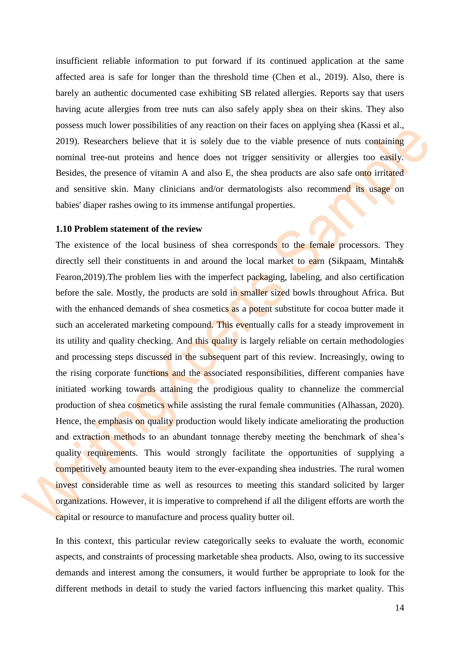insufficient reliable information to put forward if its continued application at the same affected area is safe for longer than the threshold time (Chen et al., 2019). Also, there is barely an authentic documented case exhibiting SB related allergies. Reports say that users having acute allergies from tree nuts can also safely apply shea on their skins. They also possess much lower possibilities of any reaction on their faces on applying shea (Kassi et al., 2019). Researchers believe that it is solely due to the viable presence of nuts containing nominal tree-nut proteins and hence does not trigger sensitivity or allergies too easily. Besides, the presence of vitamin A and also E, the shea products are also safe onto irritated and sensitive skin. Many clinicians and/or dermatologists also recommend its usage on babies' diaper rashes owing to its immense antifungal properties.

#### <span id="page-13-0"></span>**1.10 Problem statement of the review**

The existence of the local business of shea corresponds to the female processors. They directly sell their constituents in and around the local market to earn (Sikpaam, Mintah& Fearon,2019).The problem lies with the imperfect packaging, labeling, and also certification before the sale. Mostly, the products are sold in smaller sized bowls throughout Africa. But with the enhanced demands of shea cosmetics as a potent substitute for cocoa butter made it such an accelerated marketing compound. This eventually calls for a steady improvement in its utility and quality checking. And this quality is largely reliable on certain methodologies and processing steps discussed in the subsequent part of this review. Increasingly, owing to the rising corporate functions and the associated responsibilities, different companies have initiated working towards attaining the prodigious quality to channelize the commercial production of shea cosmetics while assisting the rural female communities (Alhassan, 2020). Hence, the emphasis on quality production would likely indicate ameliorating the production and extraction methods to an abundant tonnage thereby meeting the benchmark of shea's quality requirements. This would strongly facilitate the opportunities of supplying a competitively amounted beauty item to the ever-expanding shea industries. The rural women invest considerable time as well as resources to meeting this standard solicited by larger organizations. However, it is imperative to comprehend if all the diligent efforts are worth the capital or resource to manufacture and process quality butter oil.

In this context, this particular review categorically seeks to evaluate the worth, economic aspects, and constraints of processing marketable shea products. Also, owing to its successive demands and interest among the consumers, it would further be appropriate to look for the different methods in detail to study the varied factors influencing this market quality. This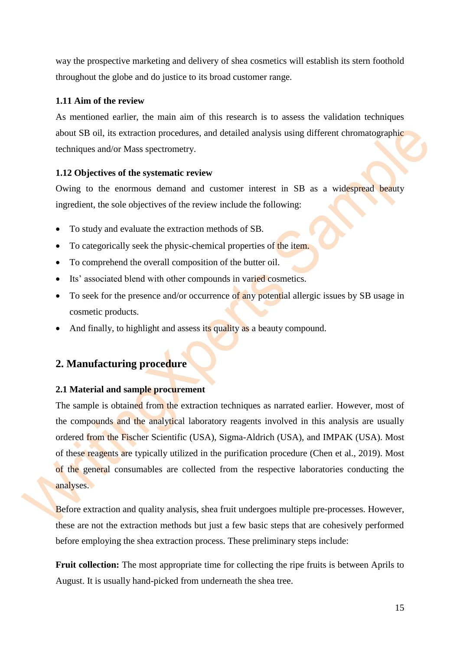way the prospective marketing and delivery of shea cosmetics will establish its stern foothold throughout the globe and do justice to its broad customer range.

## <span id="page-14-0"></span>**1.11 Aim of the review**

As mentioned earlier, the main aim of this research is to assess the validation techniques about SB oil, its extraction procedures, and detailed analysis using different chromatographic techniques and/or Mass spectrometry.

## <span id="page-14-1"></span>**1.12 Objectives of the systematic review**

Owing to the enormous demand and customer interest in SB as a widespread beauty ingredient, the sole objectives of the review include the following:

- To study and evaluate the extraction methods of SB.
- To categorically seek the physic-chemical properties of the item.
- To comprehend the overall composition of the butter oil.
- Its' associated blend with other compounds in varied cosmetics.
- To seek for the presence and/or occurrence of any potential allergic issues by SB usage in cosmetic products.
- And finally, to highlight and assess its quality as a beauty compound.

## <span id="page-14-2"></span>**2. Manufacturing procedure**

#### <span id="page-14-3"></span>**2.1 Material and sample procurement**

The sample is obtained from the extraction techniques as narrated earlier. However, most of the compounds and the analytical laboratory reagents involved in this analysis are usually ordered from the Fischer Scientific (USA), Sigma-Aldrich (USA), and IMPAK (USA). Most of these reagents are typically utilized in the purification procedure (Chen et al., 2019). Most of the general consumables are collected from the respective laboratories conducting the analyses.

Before extraction and quality analysis, shea fruit undergoes multiple pre-processes. However, these are not the extraction methods but just a few basic steps that are cohesively performed before employing the shea extraction process. These preliminary steps include:

**Fruit collection:** The most appropriate time for collecting the ripe fruits is between Aprils to August. It is usually hand-picked from underneath the shea tree.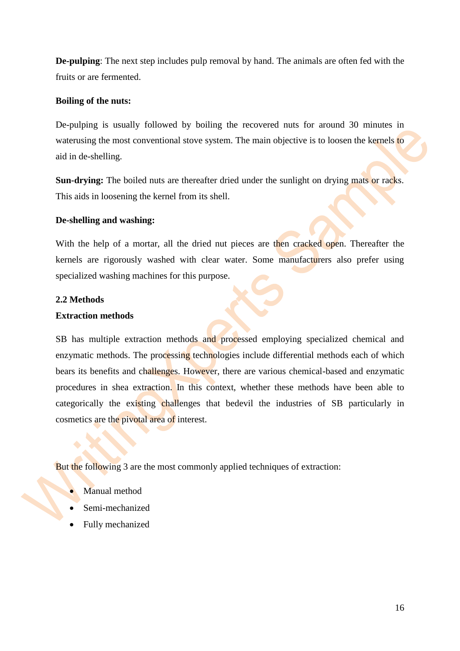**De-pulping**: The next step includes pulp removal by hand. The animals are often fed with the fruits or are fermented.

## **Boiling of the nuts:**

De-pulping is usually followed by boiling the recovered nuts for around 30 minutes in waterusing the most conventional stove system. The main objective is to loosen the kernels to aid in de-shelling.

**Sun-drying:** The boiled nuts are thereafter dried under the sunlight on drying mats or racks. This aids in loosening the kernel from its shell.

## **De-shelling and washing:**

With the help of a mortar, all the dried nut pieces are then cracked open. Thereafter the kernels are rigorously washed with clear water. Some manufacturers also prefer using specialized washing machines for this purpose.

## <span id="page-15-0"></span>**2.2 Methods**

## **Extraction methods**

SB has multiple extraction methods and processed employing specialized chemical and enzymatic methods. The processing technologies include differential methods each of which bears its benefits and challenges. However, there are various chemical-based and enzymatic procedures in shea extraction. In this context, whether these methods have been able to categorically the existing challenges that bedevil the industries of SB particularly in cosmetics are the pivotal area of interest.

But the following 3 are the most commonly applied techniques of extraction:

- Manual method
- Semi-mechanized
- Fully mechanized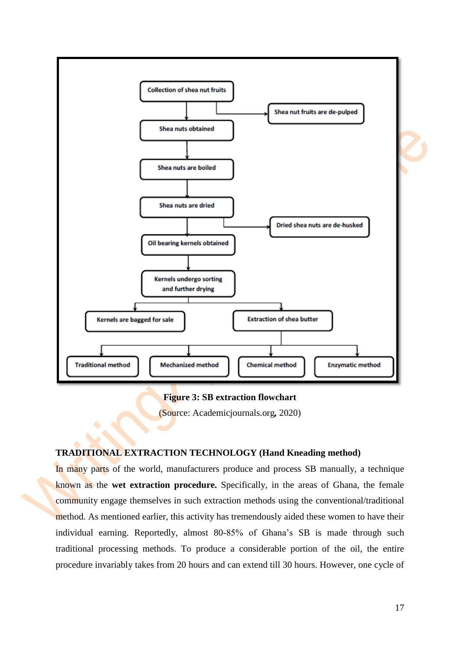

#### **Figure 3: SB extraction flowchart**

(Source: Academicjournals.org*,* 2020)

#### <span id="page-16-0"></span>**TRADITIONAL EXTRACTION TECHNOLOGY (Hand Kneading method)**

In many parts of the world, manufacturers produce and process SB manually, a technique known as the **wet extraction procedure.** Specifically, in the areas of Ghana, the female community engage themselves in such extraction methods using the conventional/traditional method. As mentioned earlier, this activity has tremendously aided these women to have their individual earning. Reportedly, almost 80-85% of Ghana's SB is made through such traditional processing methods. To produce a considerable portion of the oil, the entire procedure invariably takes from 20 hours and can extend till 30 hours. However, one cycle of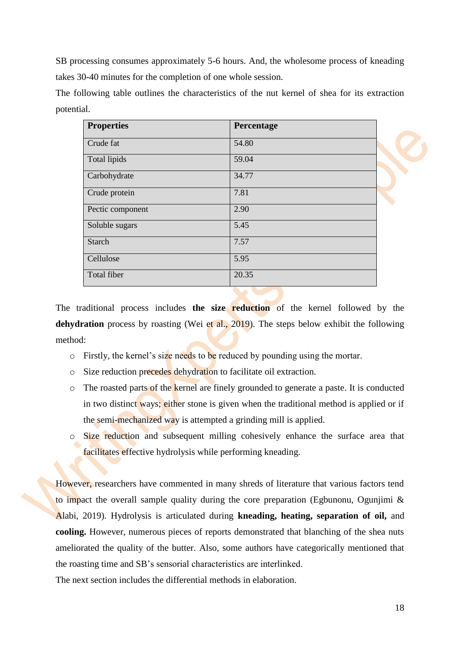SB processing consumes approximately 5-6 hours. And, the wholesome process of kneading takes 30-40 minutes for the completion of one whole session.

The following table outlines the characteristics of the nut kernel of shea for its extraction potential.

| <b>Properties</b> | Percentage |  |
|-------------------|------------|--|
| Crude fat         | 54.80      |  |
| Total lipids      | 59.04      |  |
| Carbohydrate      | 34.77      |  |
| Crude protein     | 7.81       |  |
| Pectic component  | 2.90       |  |
| Soluble sugars    | 5.45       |  |
| <b>Starch</b>     | 7.57       |  |
| Cellulose         | 5.95       |  |
| Total fiber       | 20.35      |  |
|                   |            |  |

The traditional process includes **the size reduction** of the kernel followed by the dehydration process by roasting (Wei et al., 2019). The steps below exhibit the following method:

- $\circ$  Firstly, the kernel's size needs to be reduced by pounding using the mortar.
- o Size reduction precedes dehydration to facilitate oil extraction.
- o The roasted parts of the kernel are finely grounded to generate a paste. It is conducted in two distinct ways; either stone is given when the traditional method is applied or if the semi-mechanized way is attempted a grinding mill is applied.
- o Size reduction and subsequent milling cohesively enhance the surface area that facilitates effective hydrolysis while performing kneading.

However, researchers have commented in many shreds of literature that various factors tend to impact the overall sample quality during the core preparation (Egbunonu, Ogunjimi & Alabi, 2019). Hydrolysis is articulated during **kneading, heating, separation of oil,** and **cooling.** However, numerous pieces of reports demonstrated that blanching of the shea nuts ameliorated the quality of the butter. Also, some authors have categorically mentioned that the roasting time and SB's sensorial characteristics are interlinked.

The next section includes the differential methods in elaboration.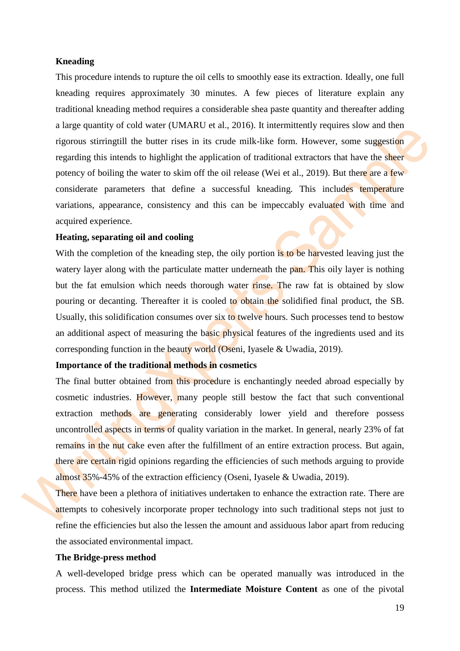#### **Kneading**

This procedure intends to rupture the oil cells to smoothly ease its extraction. Ideally, one full kneading requires approximately 30 minutes. A few pieces of literature explain any traditional kneading method requires a considerable shea paste quantity and thereafter adding a large quantity of cold water (UMARU et al., 2016). It intermittently requires slow and then rigorous stirringtill the butter rises in its crude milk-like form. However, some suggestion regarding this intends to highlight the application of traditional extractors that have the sheer potency of boiling the water to skim off the oil release (Wei et al., 2019). But there are a few considerate parameters that define a successful kneading. This includes temperature variations, appearance, consistency and this can be impeccably evaluated with time and acquired experience.

#### **Heating, separating oil and cooling**

With the completion of the kneading step, the oily portion is to be harvested leaving just the watery layer along with the particulate matter underneath the pan. This oily layer is nothing but the fat emulsion which needs thorough water rinse. The raw fat is obtained by slow pouring or decanting. Thereafter it is cooled to obtain the solidified final product, the SB. Usually, this solidification consumes over six to twelve hours. Such processes tend to bestow an additional aspect of measuring the basic physical features of the ingredients used and its corresponding function in the beauty world (Oseni, Iyasele & Uwadia, 2019).

#### **Importance of the traditional methods in cosmetics**

The final butter obtained from this procedure is enchantingly needed abroad especially by cosmetic industries. However, many people still bestow the fact that such conventional extraction methods are generating considerably lower yield and therefore possess uncontrolled aspects in terms of quality variation in the market. In general, nearly 23% of fat remains in the nut cake even after the fulfillment of an entire extraction process. But again, there are certain rigid opinions regarding the efficiencies of such methods arguing to provide almost 35%-45% of the extraction efficiency (Oseni, Iyasele & Uwadia, 2019).

There have been a plethora of initiatives undertaken to enhance the extraction rate. There are attempts to cohesively incorporate proper technology into such traditional steps not just to refine the efficiencies but also the lessen the amount and assiduous labor apart from reducing the associated environmental impact.

#### **The Bridge-press method**

A well-developed bridge press which can be operated manually was introduced in the process. This method utilized the **Intermediate Moisture Content** as one of the pivotal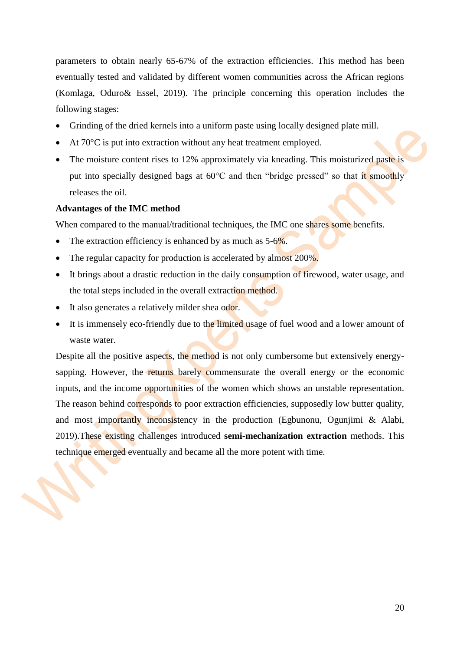parameters to obtain nearly 65-67% of the extraction efficiencies. This method has been eventually tested and validated by different women communities across the African regions (Komlaga, Oduro& Essel, 2019). The principle concerning this operation includes the following stages:

- Grinding of the dried kernels into a uniform paste using locally designed plate mill.
- At 70<sup>o</sup>C is put into extraction without any heat treatment employed.
- The moisture content rises to 12% approximately via kneading. This moisturized paste is put into specially designed bags at  $60^{\circ}$ C and then "bridge pressed" so that it smoothly releases the oil.

#### **Advantages of the IMC method**

When compared to the manual/traditional techniques, the IMC one shares some benefits.

- The extraction efficiency is enhanced by as much as  $5-6\%$ .
- The regular capacity for production is accelerated by almost 200%.
- It brings about a drastic reduction in the daily consumption of firewood, water usage, and the total steps included in the overall extraction method.
- It also generates a relatively milder shea odor.
- It is immensely eco-friendly due to the limited usage of fuel wood and a lower amount of waste water.

Despite all the positive aspects, the method is not only cumbersome but extensively energysapping. However, the returns barely commensurate the overall energy or the economic inputs, and the income opportunities of the women which shows an unstable representation. The reason behind corresponds to poor extraction efficiencies, supposedly low butter quality, and most importantly inconsistency in the production (Egbunonu, Ogunjimi & Alabi, 2019).These existing challenges introduced **semi-mechanization extraction** methods. This technique emerged eventually and became all the more potent with time.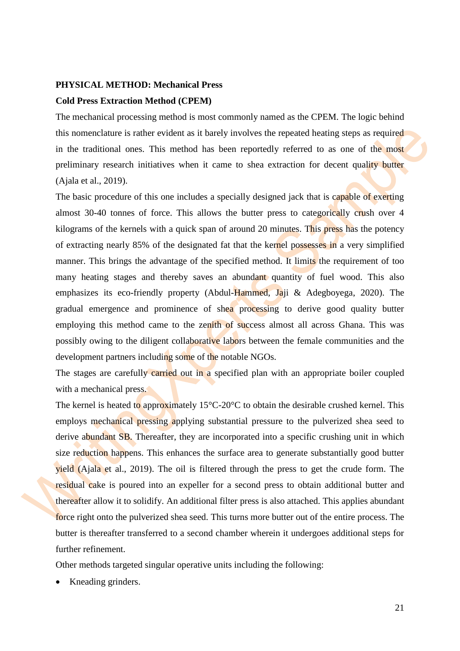#### <span id="page-20-0"></span>**PHYSICAL METHOD: Mechanical Press**

#### **Cold Press Extraction Method (CPEM)**

The mechanical processing method is most commonly named as the CPEM. The logic behind this nomenclature is rather evident as it barely involves the repeated heating steps as required in the traditional ones. This method has been reportedly referred to as one of the most preliminary research initiatives when it came to shea extraction for decent quality butter (Ajala et al., 2019).

The basic procedure of this one includes a specially designed jack that is capable of exerting almost 30-40 tonnes of force. This allows the butter press to categorically crush over 4 kilograms of the kernels with a quick span of around 20 minutes. This press has the potency of extracting nearly 85% of the designated fat that the kernel possesses in a very simplified manner. This brings the advantage of the specified method. It limits the requirement of too many heating stages and thereby saves an abundant quantity of fuel wood. This also emphasizes its eco-friendly property (Abdul-Hammed, Jaji & Adegboyega, 2020). The gradual emergence and prominence of shea processing to derive good quality butter employing this method came to the zenith of success almost all across Ghana. This was possibly owing to the diligent collaborative labors between the female communities and the development partners including some of the notable NGOs.

The stages are carefully carried out in a specified plan with an appropriate boiler coupled with a mechanical press.

The kernel is heated to approximately  $15^{\circ}$ C-20°C to obtain the desirable crushed kernel. This employs mechanical pressing applying substantial pressure to the pulverized shea seed to derive abundant SB. Thereafter, they are incorporated into a specific crushing unit in which size reduction happens. This enhances the surface area to generate substantially good butter yield (Ajala et al., 2019). The oil is filtered through the press to get the crude form. The residual cake is poured into an expeller for a second press to obtain additional butter and thereafter allow it to solidify. An additional filter press is also attached. This applies abundant force right onto the pulverized shea seed. This turns more butter out of the entire process. The butter is thereafter transferred to a second chamber wherein it undergoes additional steps for further refinement.

Other methods targeted singular operative units including the following:

• Kneading grinders.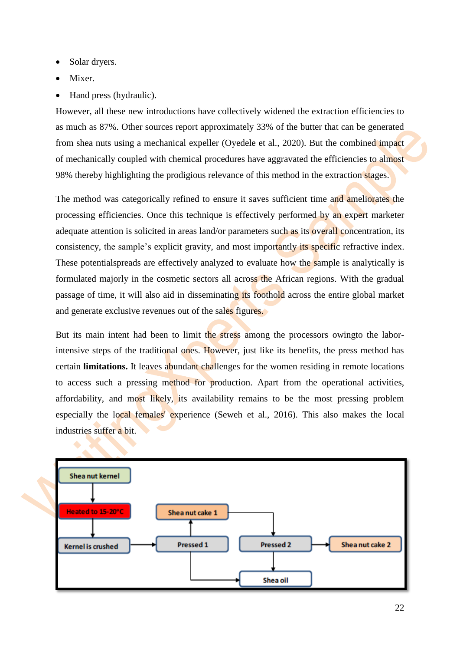- Solar dryers.
- Mixer.
- Hand press (hydraulic).

However, all these new introductions have collectively widened the extraction efficiencies to as much as 87%. Other sources report approximately 33% of the butter that can be generated from shea nuts using a mechanical expeller (Oyedele et al., 2020). But the combined impact of mechanically coupled with chemical procedures have aggravated the efficiencies to almost 98% thereby highlighting the prodigious relevance of this method in the extraction stages.

The method was categorically refined to ensure it saves sufficient time and ameliorates the processing efficiencies. Once this technique is effectively performed by an expert marketer adequate attention is solicited in areas land/or parameters such as its overall concentration, its consistency, the sample's explicit gravity, and most importantly its specific refractive index. These potentialspreads are effectively analyzed to evaluate how the sample is analytically is formulated majorly in the cosmetic sectors all across the African regions. With the gradual passage of time, it will also aid in disseminating its foothold across the entire global market and generate exclusive revenues out of the sales figures.

But its main intent had been to limit the stress among the processors owing to the laborintensive steps of the traditional ones. However, just like its benefits, the press method has certain **limitations.** It leaves abundant challenges for the women residing in remote locations to access such a pressing method for production. Apart from the operational activities, affordability, and most likely, its availability remains to be the most pressing problem especially the local females' experience (Seweh et al., 2016). This also makes the local industries suffer a bit.

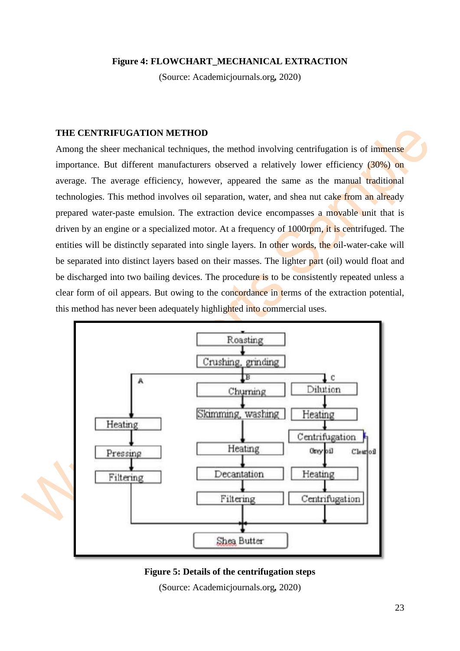#### **Figure 4: FLOWCHART\_MECHANICAL EXTRACTION**

(Source: Academicjournals.org*,* 2020)

#### <span id="page-22-0"></span>**THE CENTRIFUGATION METHOD**

Among the sheer mechanical techniques, the method involving centrifugation is of immense importance. But different manufacturers observed a relatively lower efficiency (30%) on average. The average efficiency, however, appeared the same as the manual traditional technologies. This method involves oil separation, water, and shea nut cake from an already prepared water-paste emulsion. The extraction device encompasses a movable unit that is driven by an engine or a specialized motor. At a frequency of 1000rpm, it is centrifuged. The entities will be distinctly separated into single layers. In other words, the oil-water-cake will be separated into distinct layers based on their masses. The lighter part (oil) would float and be discharged into two bailing devices. The procedure is to be consistently repeated unless a clear form of oil appears. But owing to the concordance in terms of the extraction potential, this method has never been adequately highlighted into commercial uses.



#### **Figure 5: Details of the centrifugation steps**

(Source: Academicjournals.org*,* 2020)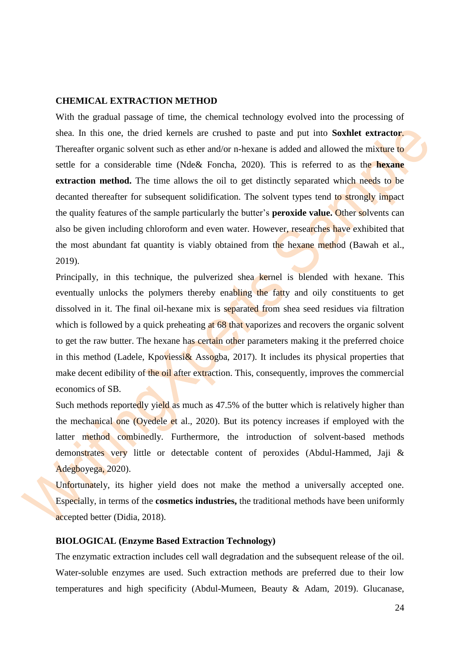#### <span id="page-23-0"></span>**CHEMICAL EXTRACTION METHOD**

With the gradual passage of time, the chemical technology evolved into the processing of shea. In this one, the dried kernels are crushed to paste and put into **Soxhlet extractor**. Thereafter organic solvent such as ether and/or n-hexane is added and allowed the mixture to settle for a considerable time (Nde& Foncha, 2020). This is referred to as the **hexane extraction method.** The time allows the oil to get distinctly separated which needs to be decanted thereafter for subsequent solidification. The solvent types tend to strongly impact the quality features of the sample particularly the butter's **peroxide value.** Other solvents can also be given including chloroform and even water. However, researches have exhibited that the most abundant fat quantity is viably obtained from the hexane method (Bawah et al., 2019).

Principally, in this technique, the pulverized shea kernel is blended with hexane. This eventually unlocks the polymers thereby enabling the fatty and oily constituents to get dissolved in it. The final oil-hexane mix is separated from shea seed residues via filtration which is followed by a quick preheating at 68 that vaporizes and recovers the organic solvent to get the raw butter. The hexane has certain other parameters making it the preferred choice in this method (Ladele, Kpoviessi& Assogba, 2017). It includes its physical properties that make decent edibility of the oil after extraction. This, consequently, improves the commercial economics of SB.

Such methods reportedly yield as much as 47.5% of the butter which is relatively higher than the mechanical one (Oyedele et al., 2020). But its potency increases if employed with the latter method combinedly. Furthermore, the introduction of solvent-based methods demonstrates very little or detectable content of peroxides (Abdul-Hammed, Jaji & Adegboyega, 2020).

Unfortunately, its higher yield does not make the method a universally accepted one. Especially, in terms of the **cosmetics industries,** the traditional methods have been uniformly accepted better (Didia, 2018).

#### <span id="page-23-1"></span>**BIOLOGICAL (Enzyme Based Extraction Technology)**

The enzymatic extraction includes cell wall degradation and the subsequent release of the oil. Water-soluble enzymes are used. Such extraction methods are preferred due to their low temperatures and high specificity (Abdul-Mumeen, Beauty & Adam, 2019). Glucanase,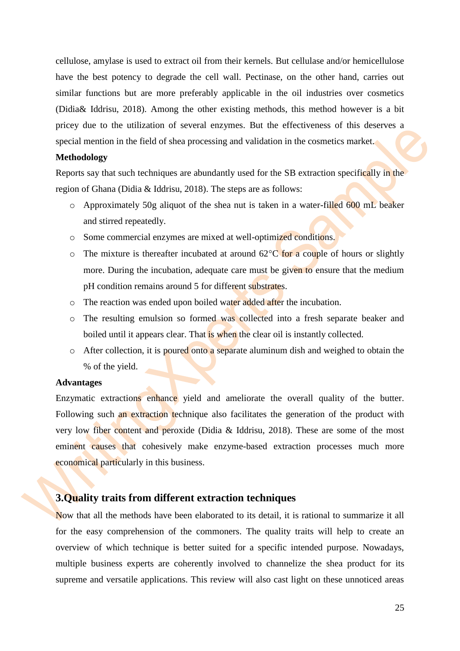cellulose, amylase is used to extract oil from their kernels. But cellulase and/or hemicellulose have the best potency to degrade the cell wall. Pectinase, on the other hand, carries out similar functions but are more preferably applicable in the oil industries over cosmetics (Didia& Iddrisu, 2018). Among the other existing methods, this method however is a bit pricey due to the utilization of several enzymes. But the effectiveness of this deserves a special mention in the field of shea processing and validation in the cosmetics market.

#### **Methodology**

Reports say that such techniques are abundantly used for the SB extraction specifically in the region of Ghana (Didia & Iddrisu, 2018). The steps are as follows:

- o Approximately 50g aliquot of the shea nut is taken in a water-filled 600 mL beaker and stirred repeatedly.
- o Some commercial enzymes are mixed at well-optimized conditions.
- $\circ$  The mixture is thereafter incubated at around 62 $\degree$ C for a couple of hours or slightly more. During the incubation, adequate care must be given to ensure that the medium pH condition remains around 5 for different substrates.
- o The reaction was ended upon boiled water added after the incubation.
- o The resulting emulsion so formed was collected into a fresh separate beaker and boiled until it appears clear. That is when the clear oil is instantly collected.
- o After collection, it is poured onto a separate aluminum dish and weighed to obtain the % of the yield.

#### **Advantages**

Enzymatic extractions enhance yield and ameliorate the overall quality of the butter. Following such an extraction technique also facilitates the generation of the product with very low fiber content and peroxide (Didia & Iddrisu, 2018). These are some of the most eminent causes that cohesively make enzyme-based extraction processes much more economical particularly in this business.

## <span id="page-24-0"></span>**3.Quality traits from different extraction techniques**

Now that all the methods have been elaborated to its detail, it is rational to summarize it all for the easy comprehension of the commoners. The quality traits will help to create an overview of which technique is better suited for a specific intended purpose. Nowadays, multiple business experts are coherently involved to channelize the shea product for its supreme and versatile applications. This review will also cast light on these unnoticed areas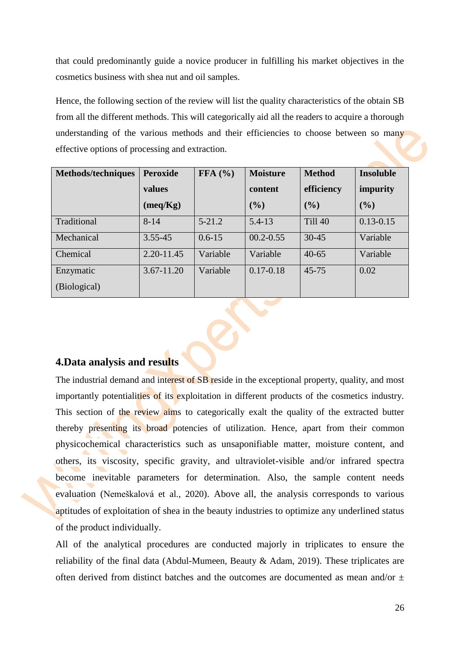that could predominantly guide a novice producer in fulfilling his market objectives in the cosmetics business with shea nut and oil samples.

Hence, the following section of the review will list the quality characteristics of the obtain SB from all the different methods. This will categorically aid all the readers to acquire a thorough understanding of the various methods and their efficiencies to choose between so many effective options of processing and extraction.

| Methods/techniques | <b>Peroxide</b> | FFA (%)    | <b>Moisture</b> | <b>Method</b>  | <b>Insoluble</b> |
|--------------------|-----------------|------------|-----------------|----------------|------------------|
|                    | values          |            | content         | efficiency     | impurity         |
|                    | (meq/Kg)        |            | (%)             | (9/0)          | (%)              |
| Traditional        | $8 - 14$        | $5 - 21.2$ | $5.4 - 13$      | <b>Till 40</b> | $0.13 - 0.15$    |
| Mechanical         | $3.55 - 45$     | $0.6 - 15$ | $00.2 - 0.55$   | $30 - 45$      | Variable         |
| Chemical           | 2.20-11.45      | Variable   | Variable        | $40 - 65$      | Variable         |
| Enzymatic          | $3.67 - 11.20$  | Variable   | $0.17 - 0.18$   | $45 - 75$      | 0.02             |
| (Biological)       |                 |            |                 |                |                  |

## <span id="page-25-0"></span>**4.Data analysis and results**

The industrial demand and interest of SB reside in the exceptional property, quality, and most importantly potentialities of its exploitation in different products of the cosmetics industry. This section of the review aims to categorically exalt the quality of the extracted butter thereby presenting its broad potencies of utilization. Hence, apart from their common physicochemical characteristics such as unsaponifiable matter, moisture content, and others, its viscosity, specific gravity, and ultraviolet-visible and/or infrared spectra become inevitable parameters for determination. Also, the sample content needs evaluation (Nemeškalová et al., 2020). Above all, the analysis corresponds to various aptitudes of exploitation of shea in the beauty industries to optimize any underlined status of the product individually.

All of the analytical procedures are conducted majorly in triplicates to ensure the reliability of the final data (Abdul-Mumeen, Beauty & Adam, 2019). These triplicates are often derived from distinct batches and the outcomes are documented as mean and/or  $\pm$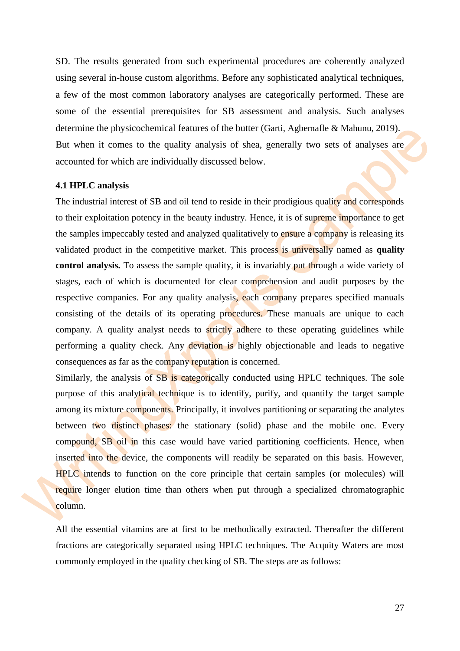SD. The results generated from such experimental procedures are coherently analyzed using several in-house custom algorithms. Before any sophisticated analytical techniques, a few of the most common laboratory analyses are categorically performed. These are some of the essential prerequisites for SB assessment and analysis. Such analyses determine the physicochemical features of the butter (Garti, Agbemafle & Mahunu, 2019). But when it comes to the quality analysis of shea, generally two sets of analyses are accounted for which are individually discussed below.

#### <span id="page-26-0"></span>**4.1 HPLC analysis**

The industrial interest of SB and oil tend to reside in their prodigious quality and corresponds to their exploitation potency in the beauty industry. Hence, it is of supreme importance to get the samples impeccably tested and analyzed qualitatively to ensure a company is releasing its validated product in the competitive market. This process is universally named as **quality control analysis.** To assess the sample quality, it is invariably put through a wide variety of stages, each of which is documented for clear comprehension and audit purposes by the respective companies. For any quality analysis, each company prepares specified manuals consisting of the details of its operating procedures. These manuals are unique to each company. A quality analyst needs to strictly adhere to these operating guidelines while performing a quality check. Any deviation is highly objectionable and leads to negative consequences as far as the company reputation is concerned.

Similarly, the analysis of SB is categorically conducted using HPLC techniques. The sole purpose of this analytical technique is to identify, purify, and quantify the target sample among its mixture components. Principally, it involves partitioning or separating the analytes between two distinct phases: the stationary (solid) phase and the mobile one. Every compound, SB oil in this case would have varied partitioning coefficients. Hence, when inserted into the device, the components will readily be separated on this basis. However, HPLC intends to function on the core principle that certain samples (or molecules) will require longer elution time than others when put through a specialized chromatographic column.

All the essential vitamins are at first to be methodically extracted. Thereafter the different fractions are categorically separated using HPLC techniques. The Acquity Waters are most commonly employed in the quality checking of SB. The steps are as follows: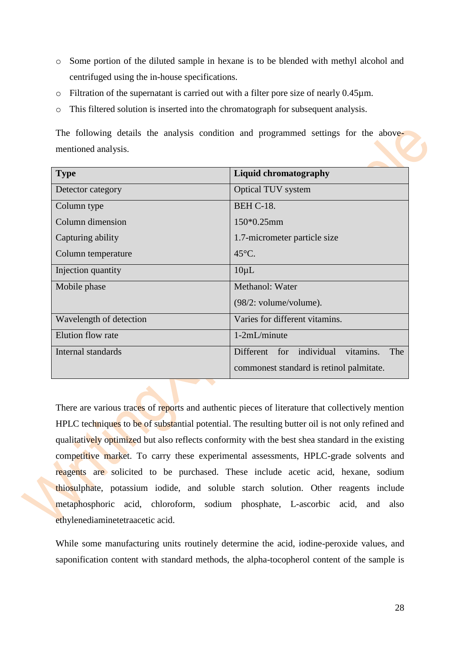- o Some portion of the diluted sample in hexane is to be blended with methyl alcohol and centrifuged using the in-house specifications.
- o Filtration of the supernatant is carried out with a filter pore size of nearly 0.45µm.
- o This filtered solution is inserted into the chromatograph for subsequent analysis.

The following details the analysis condition and programmed settings for the abovementioned analysis.

| <b>Type</b>             | <b>Liquid chromatography</b>                    |  |  |
|-------------------------|-------------------------------------------------|--|--|
| Detector category       | <b>Optical TUV system</b>                       |  |  |
| Column type             | <b>BEH C-18.</b>                                |  |  |
| Column dimension        | 150*0.25mm                                      |  |  |
| Capturing ability       | 1.7-micrometer particle size                    |  |  |
| Column temperature      | $45^{\circ}$ C.                                 |  |  |
| Injection quantity      | $10 \mu L$                                      |  |  |
| Mobile phase            | Methanol: Water                                 |  |  |
|                         | $(98/2: volume/volume)$ .                       |  |  |
| Wavelength of detection | Varies for different vitamins.                  |  |  |
| Elution flow rate       | 1-2mL/minute                                    |  |  |
| Internal standards      | individual<br>vitamins.<br>Different for<br>The |  |  |
|                         | commonest standard is retinol palmitate.        |  |  |

There are various traces of reports and authentic pieces of literature that collectively mention HPLC techniques to be of substantial potential. The resulting butter oil is not only refined and qualitatively optimized but also reflects conformity with the best shea standard in the existing competitive market. To carry these experimental assessments, HPLC-grade solvents and reagents are solicited to be purchased. These include acetic acid, hexane, sodium thiosulphate, potassium iodide, and soluble starch solution. Other reagents include metaphosphoric acid, chloroform, sodium phosphate, L-ascorbic acid, and also ethylenediaminetetraacetic acid.

While some manufacturing units routinely determine the acid, iodine-peroxide values, and saponification content with standard methods, the alpha-tocopherol content of the sample is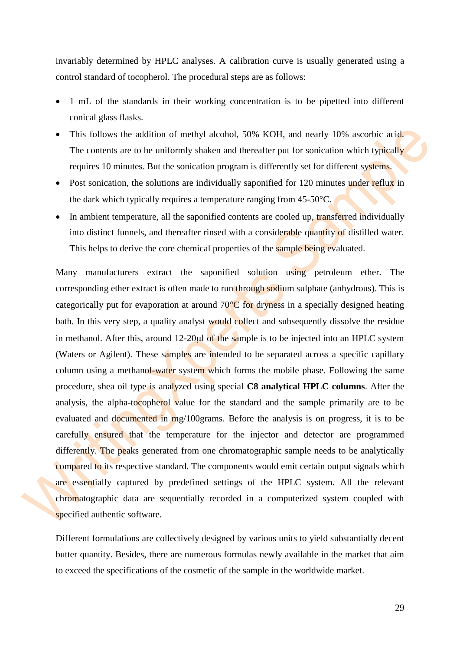invariably determined by HPLC analyses. A calibration curve is usually generated using a control standard of tocopherol. The procedural steps are as follows:

- 1 mL of the standards in their working concentration is to be pipetted into different conical glass flasks.
- This follows the addition of methyl alcohol, 50% KOH, and nearly 10% ascorbic acid. The contents are to be uniformly shaken and thereafter put for sonication which typically requires 10 minutes. But the sonication program is differently set for different systems.
- Post sonication, the solutions are individually saponified for 120 minutes under reflux in the dark which typically requires a temperature ranging from  $45-50^{\circ}$ C.
- In ambient temperature, all the saponified contents are cooled up, transferred individually into distinct funnels, and thereafter rinsed with a considerable quantity of distilled water. This helps to derive the core chemical properties of the sample being evaluated.

Many manufacturers extract the saponified solution using petroleum ether. The corresponding ether extract is often made to run through sodium sulphate (anhydrous). This is categorically put for evaporation at around  $70^{\circ}$ C for dryness in a specially designed heating bath. In this very step, a quality analyst would collect and subsequently dissolve the residue in methanol. After this, around  $12\text{-}20\mu l$  of the sample is to be injected into an HPLC system (Waters or Agilent). These samples are intended to be separated across a specific capillary column using a methanol-water system which forms the mobile phase. Following the same procedure, shea oil type is analyzed using special **C8 analytical HPLC columns**. After the analysis, the alpha-tocopherol value for the standard and the sample primarily are to be evaluated and documented in mg/100grams. Before the analysis is on progress, it is to be carefully ensured that the temperature for the injector and detector are programmed differently. The peaks generated from one chromatographic sample needs to be analytically compared to its respective standard. The components would emit certain output signals which are essentially captured by predefined settings of the HPLC system. All the relevant chromatographic data are sequentially recorded in a computerized system coupled with specified authentic software.

Different formulations are collectively designed by various units to yield substantially decent butter quantity. Besides, there are numerous formulas newly available in the market that aim to exceed the specifications of the cosmetic of the sample in the worldwide market.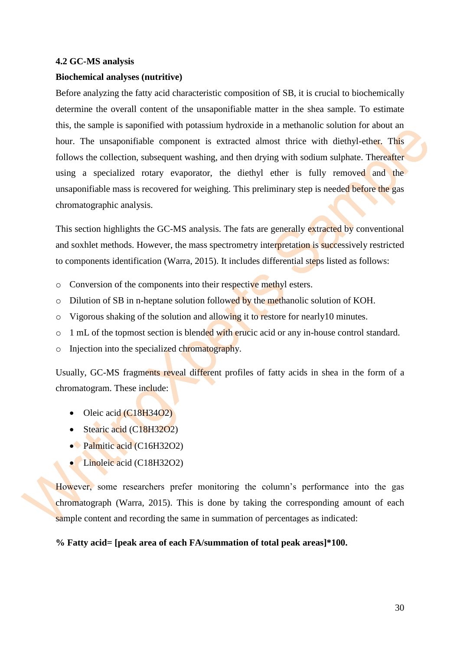#### <span id="page-29-0"></span>**4.2 GC-MS analysis**

#### **Biochemical analyses (nutritive)**

Before analyzing the fatty acid characteristic composition of SB, it is crucial to biochemically determine the overall content of the unsaponifiable matter in the shea sample. To estimate this, the sample is saponified with potassium hydroxide in a methanolic solution for about an hour. The unsaponifiable component is extracted almost thrice with diethyl-ether. This follows the collection, subsequent washing, and then drying with sodium sulphate. Thereafter using a specialized rotary evaporator, the diethyl ether is fully removed and the unsaponifiable mass is recovered for weighing. This preliminary step is needed before the gas chromatographic analysis.

This section highlights the GC-MS analysis. The fats are generally extracted by conventional and soxhlet methods. However, the mass spectrometry interpretation is successively restricted to components identification (Warra, 2015). It includes differential steps listed as follows:

- o Conversion of the components into their respective methyl esters.
- o Dilution of SB in n-heptane solution followed by the methanolic solution of KOH.
- o Vigorous shaking of the solution and allowing it to restore for nearly10 minutes.
- o 1 mL of the topmost section is blended with erucic acid or any in-house control standard.
- $\circ$  Injection into the specialized chromatography.

Usually, GC-MS fragments reveal different profiles of fatty acids in shea in the form of a chromatogram. These include:

- $\bullet$  Oleic acid (C18H34O2)
- Stearic acid (C18H32O2)
- Palmitic acid (C16H32O2)
- Linoleic acid (C18H32O2)

However, some researchers prefer monitoring the column's performance into the gas chromatograph (Warra, 2015). This is done by taking the corresponding amount of each sample content and recording the same in summation of percentages as indicated:

#### **% Fatty acid= [peak area of each FA/summation of total peak areas]\*100.**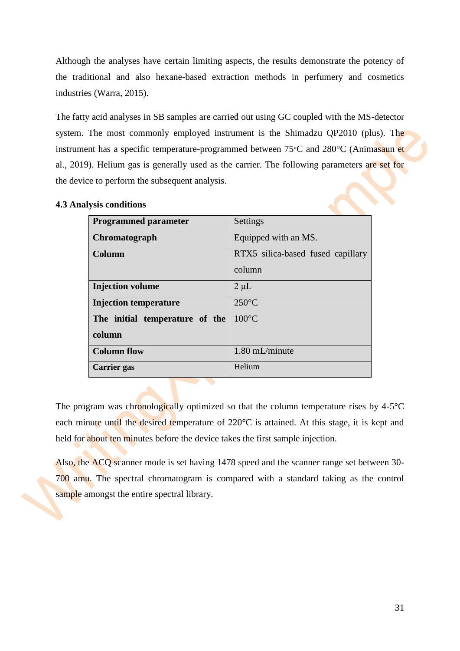Although the analyses have certain limiting aspects, the results demonstrate the potency of the traditional and also hexane-based extraction methods in perfumery and cosmetics industries (Warra, 2015).

The fatty acid analyses in SB samples are carried out using GC coupled with the MS-detector system. The most commonly employed instrument is the Shimadzu QP2010 (plus). The instrument has a specific temperature-programmed between 75°C and 280°C (Animasaun et al., 2019). Helium gas is generally used as the carrier. The following parameters are set for the device to perform the subsequent analysis.

| <b>Programmed parameter</b>    | Settings                          |
|--------------------------------|-----------------------------------|
| Chromatograph                  | Equipped with an MS.              |
| Column                         | RTX5 silica-based fused capillary |
|                                | column                            |
| <b>Injection volume</b>        | $2 \mu L$                         |
| <b>Injection temperature</b>   | $250^{\circ}$ C                   |
| The initial temperature of the | $100^{\circ}$ C                   |
| column                         |                                   |
| <b>Column flow</b>             | 1.80 mL/minute                    |
| Carrier gas                    | Helium                            |

## <span id="page-30-0"></span>**4.3 Analysis conditions**

The program was chronologically optimized so that the column temperature rises by  $4-5^{\circ}C$ each minute until the desired temperature of 220°C is attained. At this stage, it is kept and held for about ten minutes before the device takes the first sample injection.

Also, the ACQ scanner mode is set having 1478 speed and the scanner range set between 30- 700 amu. The spectral chromatogram is compared with a standard taking as the control sample amongst the entire spectral library.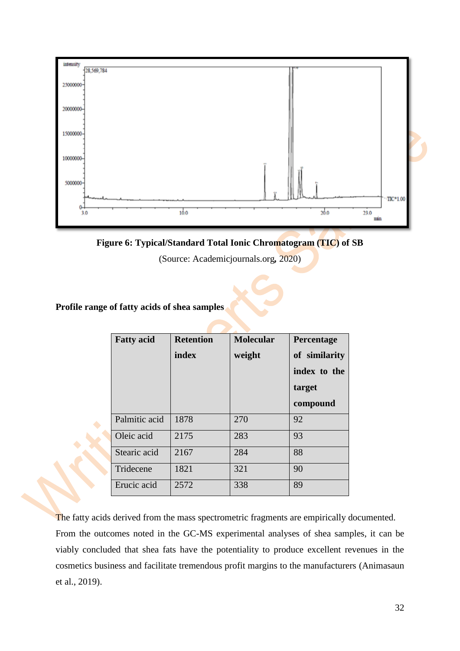

**Figure 6: Typical/Standard Total Ionic Chromatogram (TIC) of SB**

(Source: Academicjournals.org*,* 2020)

## **Profile range of fatty acids of shea samples**

| <b>Fatty acid</b> | <b>Retention</b> | <b>Molecular</b> | Percentage    |
|-------------------|------------------|------------------|---------------|
|                   | index            | weight           | of similarity |
|                   |                  |                  | index to the  |
|                   |                  |                  | target        |
|                   |                  |                  | compound      |
| Palmitic acid     | 1878             | 270              | 92            |
| Oleic acid        | 2175             | 283              | 93            |
| Stearic acid      | 2167             | 284              | 88            |
| Tridecene         | 1821             | 321              | 90            |
| Erucic acid       | 2572             | 338              | 89            |

The fatty acids derived from the mass spectrometric fragments are empirically documented.

From the outcomes noted in the GC-MS experimental analyses of shea samples, it can be viably concluded that shea fats have the potentiality to produce excellent revenues in the cosmetics business and facilitate tremendous profit margins to the manufacturers (Animasaun et al., 2019).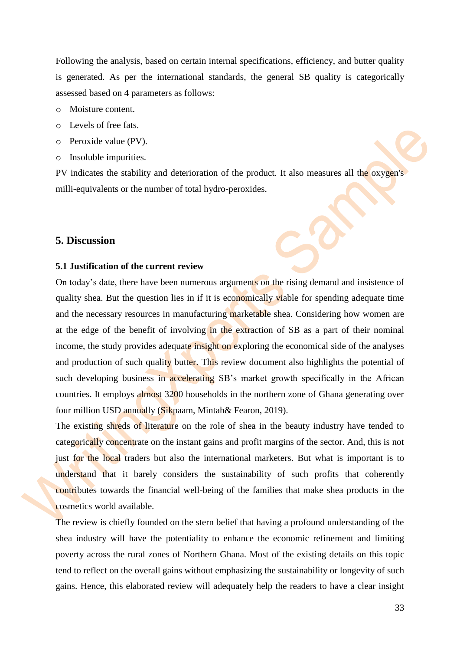Following the analysis, based on certain internal specifications, efficiency, and butter quality is generated. As per the international standards, the general SB quality is categorically assessed based on 4 parameters as follows:

- o Moisture content.
- o Levels of free fats.
- o Peroxide value (PV).
- o Insoluble impurities.

PV indicates the stability and deterioration of the product. It also measures all the oxygen's milli-equivalents or the number of total hydro-peroxides.

#### <span id="page-32-0"></span>**5. Discussion**

#### <span id="page-32-1"></span>**5.1 Justification of the current review**

On today's date, there have been numerous arguments on the rising demand and insistence of quality shea. But the question lies in if it is economically viable for spending adequate time and the necessary resources in manufacturing marketable shea. Considering how women are at the edge of the benefit of involving in the extraction of SB as a part of their nominal income, the study provides adequate insight on exploring the economical side of the analyses and production of such quality butter. This review document also highlights the potential of such developing business in accelerating SB's market growth specifically in the African countries. It employs almost 3200 households in the northern zone of Ghana generating over four million USD annually (Sikpaam, Mintah& Fearon, 2019).

The existing shreds of literature on the role of shea in the beauty industry have tended to categorically concentrate on the instant gains and profit margins of the sector. And, this is not just for the local traders but also the international marketers. But what is important is to understand that it barely considers the sustainability of such profits that coherently contributes towards the financial well-being of the families that make shea products in the cosmetics world available.

The review is chiefly founded on the stern belief that having a profound understanding of the shea industry will have the potentiality to enhance the economic refinement and limiting poverty across the rural zones of Northern Ghana. Most of the existing details on this topic tend to reflect on the overall gains without emphasizing the sustainability or longevity of such gains. Hence, this elaborated review will adequately help the readers to have a clear insight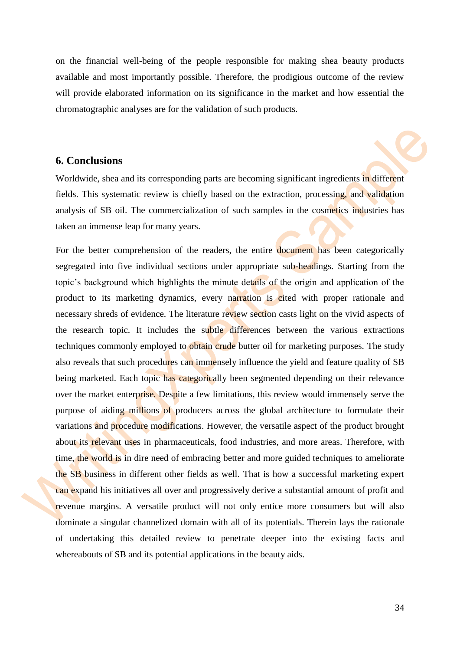on the financial well-being of the people responsible for making shea beauty products available and most importantly possible. Therefore, the prodigious outcome of the review will provide elaborated information on its significance in the market and how essential the chromatographic analyses are for the validation of such products.

#### <span id="page-33-0"></span>**6. Conclusions**

Worldwide, shea and its corresponding parts are becoming significant ingredients in different fields. This systematic review is chiefly based on the extraction, processing, and validation analysis of SB oil. The commercialization of such samples in the cosmetics industries has taken an immense leap for many years.

For the better comprehension of the readers, the entire **document** has been categorically segregated into five individual sections under appropriate sub-headings. Starting from the topic's background which highlights the minute details of the origin and application of the product to its marketing dynamics, every narration is cited with proper rationale and necessary shreds of evidence. The literature review section casts light on the vivid aspects of the research topic. It includes the subtle differences between the various extractions techniques commonly employed to obtain crude butter oil for marketing purposes. The study also reveals that such procedures can immensely influence the yield and feature quality of SB being marketed. Each topic has categorically been segmented depending on their relevance over the market enterprise. Despite a few limitations, this review would immensely serve the purpose of aiding millions of producers across the global architecture to formulate their variations and procedure modifications. However, the versatile aspect of the product brought about its relevant uses in pharmaceuticals, food industries, and more areas. Therefore, with time, the world is in dire need of embracing better and more guided techniques to ameliorate the SB business in different other fields as well. That is how a successful marketing expert can expand his initiatives all over and progressively derive a substantial amount of profit and revenue margins. A versatile product will not only entice more consumers but will also dominate a singular channelized domain with all of its potentials. Therein lays the rationale of undertaking this detailed review to penetrate deeper into the existing facts and whereabouts of SB and its potential applications in the beauty aids.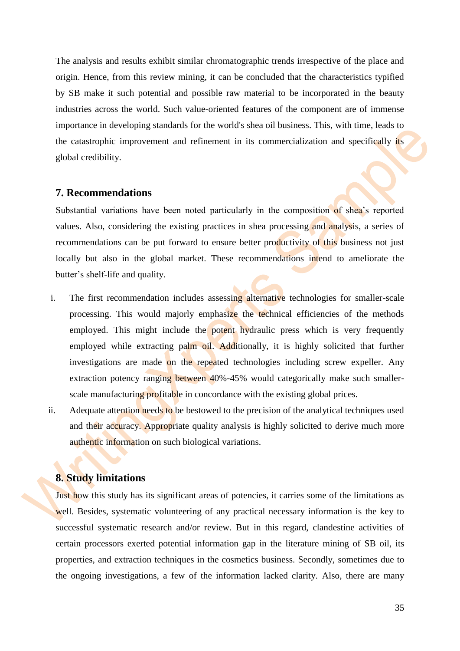The analysis and results exhibit similar chromatographic trends irrespective of the place and origin. Hence, from this review mining, it can be concluded that the characteristics typified by SB make it such potential and possible raw material to be incorporated in the beauty industries across the world. Such value-oriented features of the component are of immense importance in developing standards for the world's shea oil business. This, with time, leads to the catastrophic improvement and refinement in its commercialization and specifically its global credibility.

#### <span id="page-34-0"></span>**7. Recommendations**

Substantial variations have been noted particularly in the composition of shea's reported values. Also, considering the existing practices in shea processing and analysis, a series of recommendations can be put forward to ensure better productivity of this business not just locally but also in the global market. These recommendations intend to ameliorate the butter's shelf-life and quality.

- i. The first recommendation includes assessing alternative technologies for smaller-scale processing. This would majorly emphasize the technical efficiencies of the methods employed. This might include the potent hydraulic press which is very frequently employed while extracting palm oil. Additionally, it is highly solicited that further investigations are made on the repeated technologies including screw expeller. Any extraction potency ranging between 40%-45% would categorically make such smallerscale manufacturing profitable in concordance with the existing global prices.
- ii. Adequate attention needs to be bestowed to the precision of the analytical techniques used and their accuracy. Appropriate quality analysis is highly solicited to derive much more authentic information on such biological variations.

## <span id="page-34-1"></span>**8. Study limitations**

Just how this study has its significant areas of potencies, it carries some of the limitations as well. Besides, systematic volunteering of any practical necessary information is the key to successful systematic research and/or review. But in this regard, clandestine activities of certain processors exerted potential information gap in the literature mining of SB oil, its properties, and extraction techniques in the cosmetics business. Secondly, sometimes due to the ongoing investigations, a few of the information lacked clarity. Also, there are many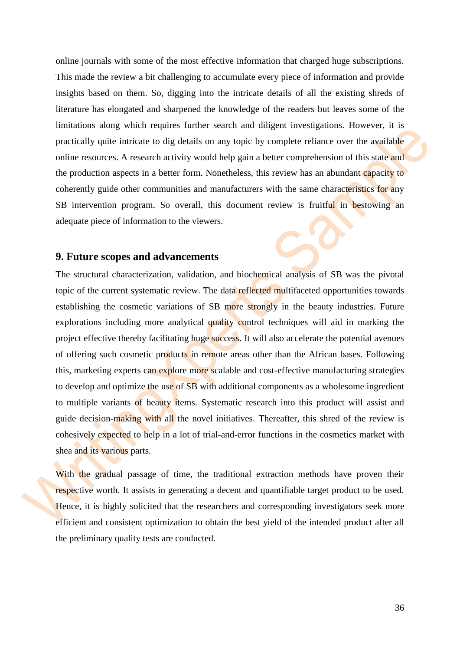online journals with some of the most effective information that charged huge subscriptions. This made the review a bit challenging to accumulate every piece of information and provide insights based on them. So, digging into the intricate details of all the existing shreds of literature has elongated and sharpened the knowledge of the readers but leaves some of the limitations along which requires further search and diligent investigations. However, it is practically quite intricate to dig details on any topic by complete reliance over the available online resources. A research activity would help gain a better comprehension of this state and the production aspects in a better form. Nonetheless, this review has an abundant capacity to coherently guide other communities and manufacturers with the same characteristics for any SB intervention program. So overall, this document review is fruitful in bestowing an adequate piece of information to the viewers.

#### <span id="page-35-0"></span>**9. Future scopes and advancements**

The structural characterization, validation, and biochemical analysis of SB was the pivotal topic of the current systematic review. The data reflected multifaceted opportunities towards establishing the cosmetic variations of SB more strongly in the beauty industries. Future explorations including more analytical quality control techniques will aid in marking the project effective thereby facilitating huge success. It will also accelerate the potential avenues of offering such cosmetic products in remote areas other than the African bases. Following this, marketing experts can explore more scalable and cost-effective manufacturing strategies to develop and optimize the use of SB with additional components as a wholesome ingredient to multiple variants of beauty items. Systematic research into this product will assist and guide decision-making with all the novel initiatives. Thereafter, this shred of the review is cohesively expected to help in a lot of trial-and-error functions in the cosmetics market with shea and its various parts.

With the gradual passage of time, the traditional extraction methods have proven their respective worth. It assists in generating a decent and quantifiable target product to be used. Hence, it is highly solicited that the researchers and corresponding investigators seek more efficient and consistent optimization to obtain the best yield of the intended product after all the preliminary quality tests are conducted.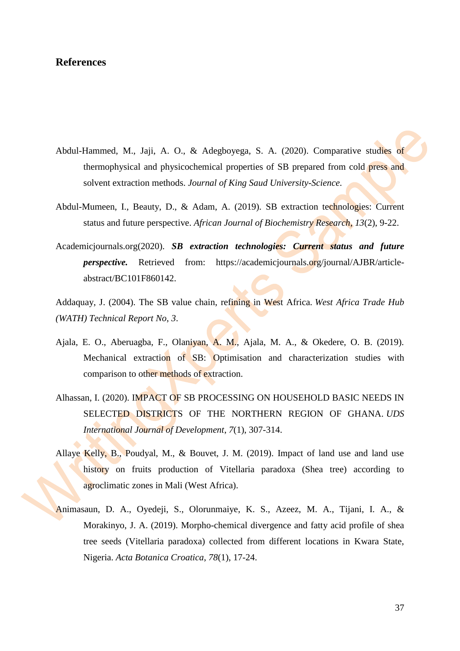## <span id="page-36-0"></span>**References**

- Abdul-Hammed, M., Jaji, A. O., & Adegboyega, S. A. (2020). Comparative studies of thermophysical and physicochemical properties of SB prepared from cold press and solvent extraction methods. *Journal of King Saud University-Science*.
- Abdul-Mumeen, I., Beauty, D., & Adam, A. (2019). SB extraction technologies: Current status and future perspective. *African Journal of Biochemistry Research*, *13*(2), 9-22.
- Academicjournals.org(2020). *SB extraction technologies: Current status and future perspective.* Retrieved from: https://academicjournals.org/journal/AJBR/articleabstract/BC101F860142.

Addaquay, J. (2004). The SB value chain, refining in West Africa. *West Africa Trade Hub (WATH) Technical Report No*, *3*.

- Ajala, E. O., Aberuagba, F., Olaniyan, A. M., Ajala, M. A., & Okedere, O. B. (2019). Mechanical extraction of SB: Optimisation and characterization studies with comparison to other methods of extraction.
- Alhassan, I. (2020). IMPACT OF SB PROCESSING ON HOUSEHOLD BASIC NEEDS IN SELECTED DISTRICTS OF THE NORTHERN REGION OF GHANA. *UDS International Journal of Development*, *7*(1), 307-314.
- Allaye Kelly, B., Poudyal, M., & Bouvet, J. M. (2019). Impact of land use and land use history on fruits production of Vitellaria paradoxa (Shea tree) according to agroclimatic zones in Mali (West Africa).
- Animasaun, D. A., Oyedeji, S., Olorunmaiye, K. S., Azeez, M. A., Tijani, I. A., & Morakinyo, J. A. (2019). Morpho-chemical divergence and fatty acid profile of shea tree seeds (Vitellaria paradoxa) collected from different locations in Kwara State, Nigeria. *Acta Botanica Croatica*, *78*(1), 17-24.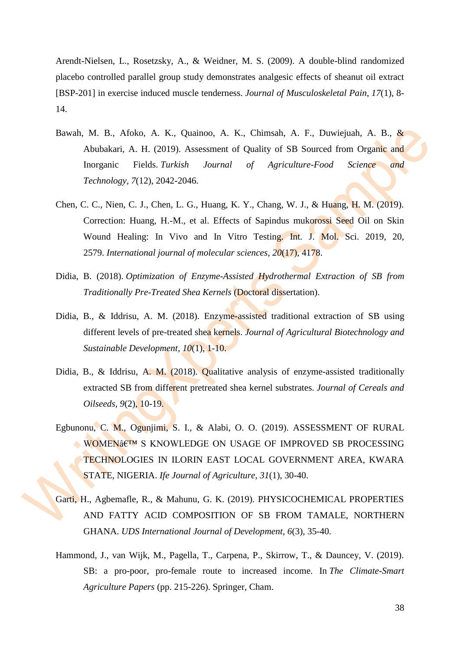Arendt-Nielsen, L., Rosetzsky, A., & Weidner, M. S. (2009). A double-blind randomized placebo controlled parallel group study demonstrates analgesic effects of sheanut oil extract [BSP-201] in exercise induced muscle tenderness. *Journal of Musculoskeletal Pain*, *17*(1), 8- 14.

- Bawah, M. B., Afoko, A. K., Quainoo, A. K., Chimsah, A. F., Duwiejuah, A. B., & Abubakari, A. H. (2019). Assessment of Quality of SB Sourced from Organic and Inorganic Fields. *Turkish Journal of Agriculture-Food Science and Technology*, *7*(12), 2042-2046.
- Chen, C. C., Nien, C. J., Chen, L. G., Huang, K. Y., Chang, W. J., & Huang, H. M. (2019). Correction: Huang, H.-M., et al. Effects of Sapindus mukorossi Seed Oil on Skin Wound Healing: In Vivo and In Vitro Testing. Int. J. Mol. Sci. 2019, 20, 2579. *International journal of molecular sciences*, *20*(17), 4178.
- Didia, B. (2018). *Optimization of Enzyme-Assisted Hydrothermal Extraction of SB from Traditionally Pre-Treated Shea Kernels* (Doctoral dissertation).
- Didia, B., & Iddrisu, A. M. (2018). Enzyme-assisted traditional extraction of SB using different levels of pre-treated shea kernels. *Journal of Agricultural Biotechnology and Sustainable Development*, *10*(1), 1-10.
- Didia, B., & Iddrisu, A. M. (2018). Qualitative analysis of enzyme-assisted traditionally extracted SB from different pretreated shea kernel substrates. *Journal of Cereals and Oilseeds*, *9*(2), 10-19.
- Egbunonu, C. M., Ogunjimi, S. I., & Alabi, O. O. (2019). ASSESSMENT OF RURAL WOMEN& ETM S KNOWLEDGE ON USAGE OF IMPROVED SB PROCESSING TECHNOLOGIES IN ILORIN EAST LOCAL GOVERNMENT AREA, KWARA STATE, NIGERIA. *Ife Journal of Agriculture*, *31*(1), 30-40.
- Garti, H., Agbemafle, R., & Mahunu, G. K. (2019). PHYSICOCHEMICAL PROPERTIES AND FATTY ACID COMPOSITION OF SB FROM TAMALE, NORTHERN GHANA. *UDS International Journal of Development*, *6*(3), 35-40.
- Hammond, J., van Wijk, M., Pagella, T., Carpena, P., Skirrow, T., & Dauncey, V. (2019). SB: a pro-poor, pro-female route to increased income. In *The Climate-Smart Agriculture Papers* (pp. 215-226). Springer, Cham.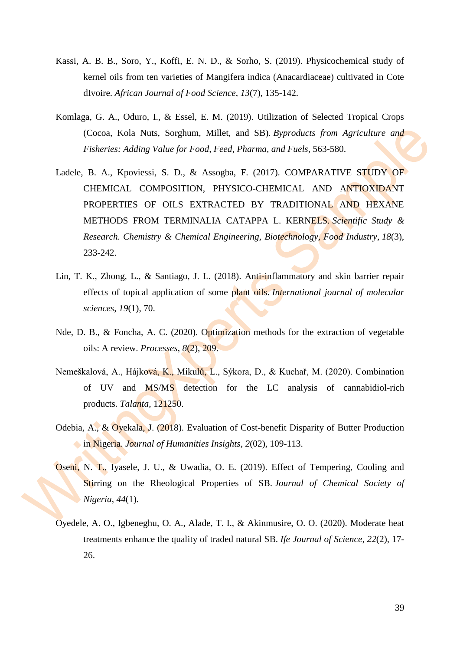- Kassi, A. B. B., Soro, Y., Koffi, E. N. D., & Sorho, S. (2019). Physicochemical study of kernel oils from ten varieties of Mangifera indica (Anacardiaceae) cultivated in Cote dIvoire. *African Journal of Food Science*, *13*(7), 135-142.
- Komlaga, G. A., Oduro, I., & Essel, E. M. (2019). Utilization of Selected Tropical Crops (Cocoa, Kola Nuts, Sorghum, Millet, and SB). *Byproducts from Agriculture and Fisheries: Adding Value for Food, Feed, Pharma, and Fuels*, 563-580.
- Ladele, B. A., Kpoviessi, S. D., & Assogba, F. (2017). COMPARATIVE STUDY OF CHEMICAL COMPOSITION, PHYSICO-CHEMICAL AND ANTIOXIDANT PROPERTIES OF OILS EXTRACTED BY TRADITIONAL AND HEXANE METHODS FROM TERMINALIA CATAPPA L. KERNELS. *Scientific Study & Research. Chemistry & Chemical Engineering, Biotechnology, Food Industry*, *18*(3), 233-242.
- Lin, T. K., Zhong, L., & Santiago, J. L. (2018). Anti-inflammatory and skin barrier repair effects of topical application of some plant oils. *International journal of molecular sciences*, *19*(1), 70.
- Nde, D. B., & Foncha, A. C. (2020). Optimization methods for the extraction of vegetable oils: A review. *Processes*, *8*(2), 209.
- Nemeškalová, A., Hájková, K., Mikulů, L., Sýkora, D., & Kuchař, M. (2020). Combination of UV and MS/MS detection for the LC analysis of cannabidiol-rich products. *Talanta*, 121250.
- Odebia, A., & Oyekala, J. (2018). Evaluation of Cost-benefit Disparity of Butter Production in Nigeria. *Journal of Humanities Insights*, *2*(02), 109-113.
- Oseni, N. T., Iyasele, J. U., & Uwadia, O. E. (2019). Effect of Tempering, Cooling and Stirring on the Rheological Properties of SB. *Journal of Chemical Society of Nigeria*, *44*(1).
- Oyedele, A. O., Igbeneghu, O. A., Alade, T. I., & Akinmusire, O. O. (2020). Moderate heat treatments enhance the quality of traded natural SB. *Ife Journal of Science*, *22*(2), 17- 26.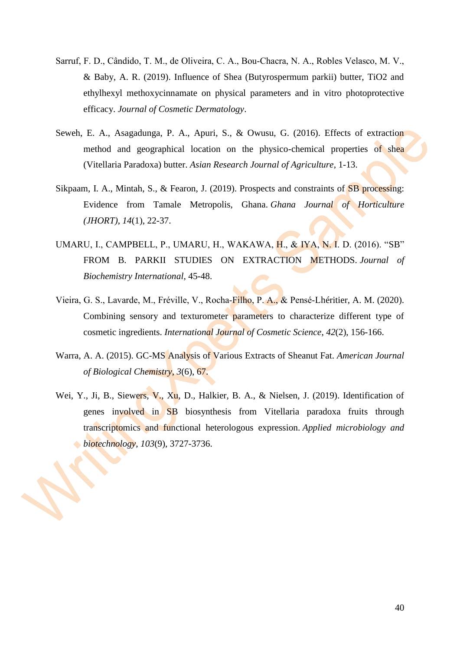- Sarruf, F. D., Cândido, T. M., de Oliveira, C. A., Bou‐Chacra, N. A., Robles Velasco, M. V., & Baby, A. R. (2019). Influence of Shea (Butyrospermum parkii) butter, TiO2 and ethylhexyl methoxycinnamate on physical parameters and in vitro photoprotective efficacy. *Journal of Cosmetic Dermatology*.
- Seweh, E. A., Asagadunga, P. A., Apuri, S., & Owusu, G. (2016). Effects of extraction method and geographical location on the physico-chemical properties of shea (Vitellaria Paradoxa) butter. *Asian Research Journal of Agriculture*, 1-13.
- Sikpaam, I. A., Mintah, S., & Fearon, J. (2019). Prospects and constraints of **SB** processing: Evidence from Tamale Metropolis, Ghana. *Ghana Journal of Horticulture (JHORT)*, *14*(1), 22-37.
- UMARU, I., CAMPBELL, P., UMARU, H., WAKAWA, H., & IYA, N. I. D. (2016). "SB" FROM B. PARKII STUDIES ON EXTRACTION METHODS. *Journal of Biochemistry International*, 45-48.
- Vieira, G. S., Lavarde, M., Fréville, V., Rocha‐Filho, P. A., & Pensé‐Lhéritier, A. M. (2020). Combining sensory and texturometer parameters to characterize different type of cosmetic ingredients. *International Journal of Cosmetic Science*, *42*(2), 156-166.
- Warra, A. A. (2015). GC-MS Analysis of Various Extracts of Sheanut Fat. *American Journal of Biological Chemistry*, *3*(6), 67.
- Wei, Y., Ji, B., Siewers, V., Xu, D., Halkier, B. A., & Nielsen, J. (2019). Identification of genes involved in SB biosynthesis from Vitellaria paradoxa fruits through transcriptomics and functional heterologous expression. *Applied microbiology and biotechnology*, *103*(9), 3727-3736.